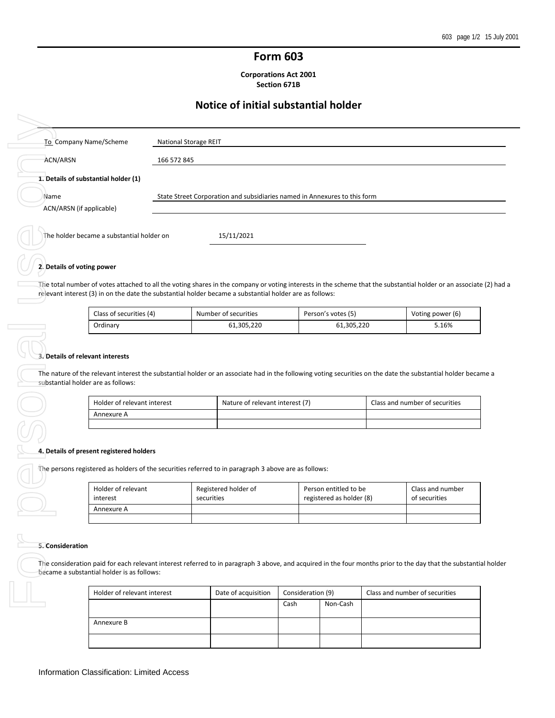# **Form 603**

**Corporations Act 2001 Section 671B**

# **Notice of initial substantial holder**

| To Company Name/Scheme                                                                                                                                                                                                                                                                                                                     |             | National Storage REIT |                                 |                                                                           |                                   |
|--------------------------------------------------------------------------------------------------------------------------------------------------------------------------------------------------------------------------------------------------------------------------------------------------------------------------------------------|-------------|-----------------------|---------------------------------|---------------------------------------------------------------------------|-----------------------------------|
| ACN/ARSN                                                                                                                                                                                                                                                                                                                                   | 166 572 845 |                       |                                 |                                                                           |                                   |
| 1. Details of substantial holder (1)                                                                                                                                                                                                                                                                                                       |             |                       |                                 |                                                                           |                                   |
| Name                                                                                                                                                                                                                                                                                                                                       |             |                       |                                 | State Street Corporation and subsidiaries named in Annexures to this form |                                   |
| ACN/ARSN (if applicable)                                                                                                                                                                                                                                                                                                                   |             |                       |                                 |                                                                           |                                   |
| The holder became a substantial holder on                                                                                                                                                                                                                                                                                                  |             |                       | 15/11/2021                      |                                                                           |                                   |
|                                                                                                                                                                                                                                                                                                                                            |             |                       |                                 |                                                                           |                                   |
| 2. Details of voting power                                                                                                                                                                                                                                                                                                                 |             |                       |                                 |                                                                           |                                   |
| The total number of votes attached to all the voting shares in the company or voting interests in the scheme that the substantial holder or an associate (2) had a                                                                                                                                                                         |             |                       |                                 |                                                                           |                                   |
| relevant interest (3) in on the date the substantial holder became a substantial holder are as follows:                                                                                                                                                                                                                                    |             |                       |                                 |                                                                           |                                   |
| Class of securities (4)                                                                                                                                                                                                                                                                                                                    |             |                       | Number of securities            | Person's votes (5)                                                        | Voting power (6)                  |
| Ordinary                                                                                                                                                                                                                                                                                                                                   |             |                       | 61,305,220                      | 61,305,220                                                                | 5.16%                             |
|                                                                                                                                                                                                                                                                                                                                            |             |                       |                                 |                                                                           |                                   |
|                                                                                                                                                                                                                                                                                                                                            |             |                       |                                 |                                                                           |                                   |
| 3. Details of relevant interests<br>The nature of the relevant interest the substantial holder or an associate had in the following voting securities on the date the substantial holder became a<br>substantial holder are as follows:<br>Holder of relevant interest                                                                     |             |                       | Nature of relevant interest (7) |                                                                           | Class and number of securities    |
| Annexure A                                                                                                                                                                                                                                                                                                                                 |             |                       |                                 |                                                                           |                                   |
|                                                                                                                                                                                                                                                                                                                                            |             |                       |                                 |                                                                           |                                   |
| 4. Details of present registered holders                                                                                                                                                                                                                                                                                                   |             |                       |                                 |                                                                           |                                   |
|                                                                                                                                                                                                                                                                                                                                            |             |                       |                                 |                                                                           |                                   |
|                                                                                                                                                                                                                                                                                                                                            |             |                       |                                 |                                                                           |                                   |
| Holder of relevant<br>interest                                                                                                                                                                                                                                                                                                             |             | securities            | Registered holder of            | Person entitled to be<br>registered as holder (8)                         | Class and number<br>of securities |
| Annexure A                                                                                                                                                                                                                                                                                                                                 |             |                       |                                 |                                                                           |                                   |
|                                                                                                                                                                                                                                                                                                                                            |             |                       |                                 |                                                                           |                                   |
|                                                                                                                                                                                                                                                                                                                                            |             |                       |                                 |                                                                           |                                   |
| The persons registered as holders of the securities referred to in paragraph 3 above are as follows:<br>5. Consideration<br>The consideration paid for each relevant interest referred to in paragraph 3 above, and acquired in the four months prior to the day that the substantial holder<br>became a substantial holder is as follows: |             |                       |                                 |                                                                           |                                   |
| Holder of relevant interest                                                                                                                                                                                                                                                                                                                |             |                       | Date of acquisition             | Consideration (9)                                                         | Class and number of securities    |

# **2. Details of voting power**

| Class of securities (4)<br>Number of securities |            | Person's votes (5) | Voting power (6) |  |  |
|-------------------------------------------------|------------|--------------------|------------------|--|--|
| Ordinary                                        | 61.305.220 | 61,305,220         | 5.16%            |  |  |

## **3. Details of relevant interests**

| Holder of relevant interest | Nature of relevant interest (7) | Class and number of securities |
|-----------------------------|---------------------------------|--------------------------------|
| Annexure A                  |                                 |                                |
|                             |                                 |                                |

### **4. Details of present registered holders**

| Holder of relevant<br>interest | Registered holder of<br>securities | Person entitled to be<br>registered as holder (8) | Class and number<br>of securities |  |
|--------------------------------|------------------------------------|---------------------------------------------------|-----------------------------------|--|
| Annexure A                     |                                    |                                                   |                                   |  |
|                                |                                    |                                                   |                                   |  |

### **5. Consideration**

| Holder of relevant interest | Date of acquisition | Consideration (9) |          | Class and number of securities |
|-----------------------------|---------------------|-------------------|----------|--------------------------------|
|                             |                     | Cash              | Non-Cash |                                |
| Annexure B                  |                     |                   |          |                                |
|                             |                     |                   |          |                                |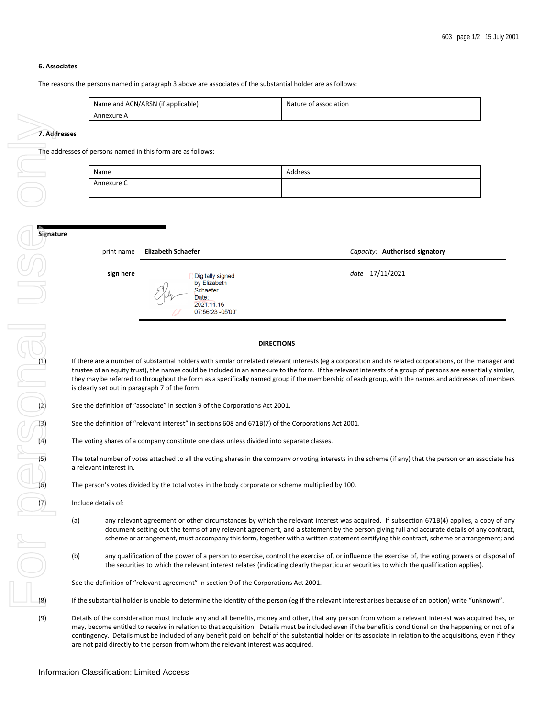## **6. Associates**

The reasons the persons named in paragraph 3 above are associates of the substantial holder are as follows:

| Name and ACN/ARSN (if applicable) | Nature of association |
|-----------------------------------|-----------------------|
| Annexure A                        |                       |

**7. Addresses**

The addresses of persons named in this form are as follows:

| Name       | Address |
|------------|---------|
| Annexure C |         |
|            |         |

| ٢e |            |                                                                                         |                                |
|----|------------|-----------------------------------------------------------------------------------------|--------------------------------|
|    | print name | <b>Elizabeth Schaefer</b>                                                               | Capacity: Authorised signatory |
|    | sign here  | Digitally signed<br>by Elizabeth<br>Schaefer<br>Date:<br>2021.11.16<br>07:56:23 -05'00' | date 17/11/2021                |

#### **DIRECTIONS**

**Examples the correspondent interest (egsa corporations and its related corporations, or the manager and<br>tustee of an equity tust), the names could be included in an annexure to the form. If the relevant interests of a gro** trustee of an equity trust), the names could be included in an annexure to the form. If the relevant interests of a group of persons are essentially similar, they may be referred to throughout the form as a specifically named group if the membership of each group, with the names and addresses of members is clearly set out in paragraph 7 of the form.

See the definition of "associate" in section 9 of the Corporations Act 2001.

See the definition of "relevant interest" in sections 608 and 671B(7) of the Corporations Act 2001.

The voting shares of a company constitute one class unless divided into separate classes.

The total number of votes attached to all the voting shares in the company or voting interests in the scheme (if any) that the person or an associate has a relevant interest in.

The person's votes divided by the total votes in the body corporate or scheme multiplied by 100.

Include details of:

- (a) any relevant agreement or other circumstances by which the relevant interest was acquired. If subsection 671B(4) applies, a copy of any document setting out the terms of any relevant agreement, and a statement by the person giving full and accurate details of any contract, scheme or arrangement, must accompany this form, together with a written statement certifying this contract, scheme or arrangement; and
- (b) any qualification of the power of a person to exercise, control the exercise of, or influence the exercise of, the voting powers or disposal of the securities to which the relevant interest relates (indicating clearly the particular securities to which the qualification applies).

See the definition of "relevant agreement" in section 9 of the Corporations Act 2001.

If the substantial holder is unable to determine the identity of the person (eg if the relevant interest arises because of an option) write "unknown".

(9) Details of the consideration must include any and all benefits, money and other, that any person from whom a relevant interest was acquired has, or may, become entitled to receive in relation to that acquisition. Details must be included even if the benefit is conditional on the happening or not of a contingency. Details must be included of any benefit paid on behalf of the substantial holder or its associate in relation to the acquisitions, even if they are not paid directly to the person from whom the relevant interest was acquired.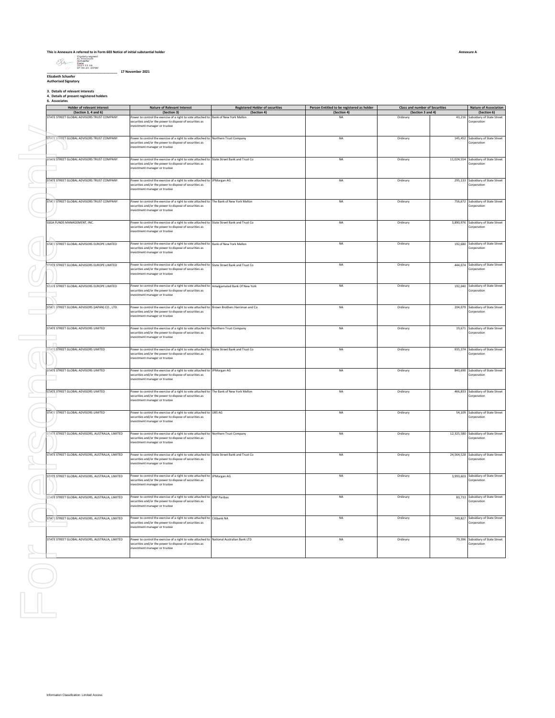# **This is Annexure A referred to in Form 603 Notice of initial substantial holder \_\_\_\_\_\_\_\_\_\_\_\_\_\_\_\_\_\_\_\_\_\_\_\_\_\_\_\_\_\_\_\_\_\_\_\_\_\_ 17 November 2021**

**Elizabeth Schaefer Authorised Signatory**

**3. Details of relevant interests 4. Details of present registered holders 6. Associates**

| (Section 3, 4 and 6)<br>STATE STREET GLOBAL ADVISORS TRUST COMPANY<br>STATE STREET GLOBAL ADVISORS TRUST COMPANY<br>STATE STREET GLOBAL ADVISORS TRUST COMPANY | (Section 3)<br>Power to control the exercise of a right to vote attached to Bank of New York Mellon<br>securities and/or the power to dispose of securities as<br>investment manager or trustee<br>Power to control the exercise of a right to vote attached to Northern Trust Company<br>securities and/or the power to dispose of securities as | (Section 4) |                          |                               |                                                                 |
|----------------------------------------------------------------------------------------------------------------------------------------------------------------|---------------------------------------------------------------------------------------------------------------------------------------------------------------------------------------------------------------------------------------------------------------------------------------------------------------------------------------------------|-------------|--------------------------|-------------------------------|-----------------------------------------------------------------|
|                                                                                                                                                                |                                                                                                                                                                                                                                                                                                                                                   |             | (Section 4)<br><b>NA</b> | (Section 3 and 4)<br>Ordinary | (Section 6)<br>43,216 Subsidiary of State Street<br>Corporation |
|                                                                                                                                                                | investment manager or trustee                                                                                                                                                                                                                                                                                                                     |             | NA                       | Ordinary                      | 145,452 Subsidiary of State Street<br>Corporation               |
|                                                                                                                                                                | Power to control the exercise of a right to vote attached to State Street Bank and Trust Co<br>securities and/or the power to dispose of securities as<br>investment manager or trustee                                                                                                                                                           |             | NA                       | Ordinary                      | 11,024,554 Subsidiary of State Street<br>Corporation            |
| STATE STREET GLOBAL ADVISORS TRUST COMPANY                                                                                                                     | Power to control the exercise of a right to vote attached to JPMorgan AG<br>securities and/or the power to dispose of securities as<br>nvestment manager or trustee                                                                                                                                                                               |             | <b>NA</b>                | Ordinary                      | 295,133 Subsidiary of State Street<br>Corporation               |
| STATE STREET GLOBAL ADVISORS TRUST COMPANY                                                                                                                     | Power to control the exercise of a right to vote attached to The Bank of New York Mellon<br>securities and/or the power to dispose of securities as<br>investment manager or trustee                                                                                                                                                              |             | NA                       | Ordinary                      | 756,672 Subsidiary of State Street<br>Corporation               |
| SSGA FUNDS MANAGEMENT, INC.                                                                                                                                    | Power to control the exercise of a right to vote attached to State Street Bank and Trust Co<br>securities and/or the power to dispose of securities as<br>investment manager or trustee                                                                                                                                                           |             | <b>NA</b>                | Ordinary                      | 3,890,976 Subsidiary of State Street<br>crporation              |
| STATE STREET GLOBAL ADVISORS EUROPE LIMITED                                                                                                                    | Power to control the exercise of a right to vote attached to Bank of New York Mellon<br>securities and/or the power to dispose of securities as<br>investment manager or trustee                                                                                                                                                                  |             | NA                       | Ordinary                      | 192,680 Subsidiary of State Street<br>Corporation               |
| STATE STREET GLOBAL ADVISORS EUROPE LIMITED                                                                                                                    | Power to control the exercise of a right to vote attached to State Street Bank and Trust Co<br>securities and/or the power to dispose of securities as<br>nvestment manager or trustee                                                                                                                                                            |             | <b>NA</b>                | Ordinary                      | 444,074 Subsidiary of State Street<br>Corporation               |
| STATE STREET GLOBAL ADVISORS EUROPE LIMITED                                                                                                                    | Power to control the exercise of a right to vote attached to Amalgamated Bank Of New York<br>securities and/or the power to dispose of securities as<br>investment manager or trustee                                                                                                                                                             |             | NA                       | Ordinary                      | 192,040 Subsidiary of State Street<br>Corporation               |
| STATE STREET GLOBAL ADVISORS (JAPAN) CO., LTD.                                                                                                                 | Power to control the exercise of a right to vote attached to Brown Brothers Harriman and Co<br>securities and/or the power to dispose of securities as<br>investment manager or trustee                                                                                                                                                           |             | <b>NA</b>                | Ordinary                      | 204,079 Subsidiary of State Street<br>Corporation               |
| STATE STREET GLOBAL ADVISORS LIMITED                                                                                                                           | Power to control the exercise of a right to vote attached to Northern Trust Company<br>securities and/or the power to dispose of securities as<br>investment manager or trustee                                                                                                                                                                   |             | NA                       | Ordinary                      | 19,671 Subsidiary of State Street<br>Corporation                |
| STATE STREET GLOBAL ADVISORS LIMITED                                                                                                                           | Power to control the exercise of a right to vote attached to State Street Bank and Trust Co<br>securities and/or the power to dispose of securities as<br>nvestment manager or trustee                                                                                                                                                            |             | NA                       | Ordinary                      | 935,374 Subsidiary of State Street<br>Corporation               |
| STATE STREET GLOBAL ADVISORS LIMITED                                                                                                                           | Power to control the exercise of a right to vote attached to JPMorgan AG<br>securities and/or the power to dispose of securities as<br>nvestment manager or trustee                                                                                                                                                                               |             | NA                       | Ordinary                      | 843,690 Subsidiary of State Street<br>Corporation               |
| STATE STREET GLOBAL ADVISORS LIMITED                                                                                                                           | Power to control the exercise of a right to vote attached to The Bank of New York Mellon<br>securities and/or the power to dispose of securities as<br>nvestment manager or trustee                                                                                                                                                               |             | <b>NA</b>                | Ordinary                      | 466,833 Subsidiary of State Street<br>crporation                |
| STATE STREET GLOBAL ADVISORS LIMITED                                                                                                                           | Power to control the exercise of a right to vote attached to UBS AG<br>securities and/or the power to dispose of securities as<br>investment manager or trustee                                                                                                                                                                                   |             | NA                       | Ordinary                      | 54,109 Subsidiary of State Street<br>Corporation                |
| STATE STREET GLOBAL ADVISORS, AUSTRALIA, LIMITED                                                                                                               | Power to control the exercise of a right to vote attached to Northern Trust Company<br>securities and/or the power to dispose of securities as<br>investment manager or trustee                                                                                                                                                                   |             | NA                       | Ordinary                      | 12,325,580 Subsidiary of State Street<br>Corporation            |
| STATE STREET GLOBAL ADVISORS, AUSTRALIA, LIMITED                                                                                                               | Power to control the exercise of a right to vote attached to State Street Bank and Trust Co<br>securities and/or the power to dispose of securities as<br>investment manager or trustee                                                                                                                                                           |             | NA                       | Ordinary                      | 24,564,528 Subsidiary of State Street<br>Corporation            |
| STATE STREET GLOBAL ADVISORS, AUSTRALIA, LIMITED                                                                                                               | Power to control the exercise of a right to vote attached to JPMorgan AG<br>securities and/or the power to dispose of securities as<br>investment manager or trustee                                                                                                                                                                              |             | <b>NA</b>                | Ordinary                      | 3,993,603 Subsidiary of State Street<br>Corporation             |
| TATE STREET GLOBAL ADVISORS, AUSTRALIA, LIMITED                                                                                                                | Power to control the exercise of a right to vote attached to BNP Paribas<br>securities and/or the power to dispose of securities as<br>investment manager or trustee                                                                                                                                                                              |             | NA                       | Ordinary                      | 83,733 Subsidiary of State Street<br>Corporation                |
| STATE STREET GLOBAL ADVISORS, AUSTRALIA, LIMITED                                                                                                               | Power to control the exercise of a right to vote attached to Citibank NA<br>securities and/or the power to dispose of securities as<br>investment manager or trustee                                                                                                                                                                              |             | NA                       | Ordinary                      | 749,827 Subsidiary of State Street<br>Corporation               |
| STATE STREET GLOBAL ADVISORS, AUSTRALIA, LIMITED                                                                                                               | Power to control the exercise of a right to vote attached to National Australian Bank LTD<br>securities and/or the power to dispose of securities as<br>nvestment manager or trustee                                                                                                                                                              |             | NA                       | Ordinary                      | 79,396 Subsidiary of State Street<br>Corporation                |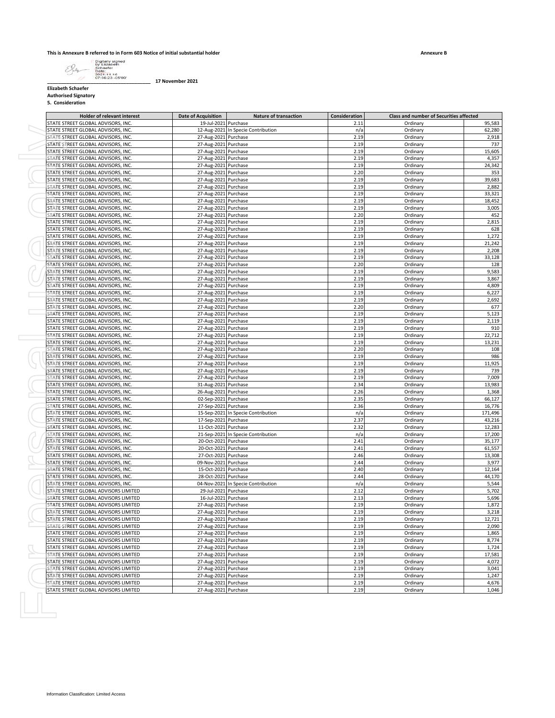

**\_\_\_\_\_\_\_\_\_\_\_\_\_\_\_\_\_\_\_\_\_\_\_\_\_\_\_\_\_\_\_\_\_\_\_\_\_\_ 17 November 2021**

**Elizabeth Schaefer Authorised Signatory**

**5. Consideration**

|                                                                              | Date of Acquisition                                                                                                                                                                                                                                                                                                                                                                                                                                                                                                                                                                                                                                                                                                                                                                                                                                                                                                                                                                                                                                                                                      | <b>Nature of transaction</b>       | <b>Consideration</b>                                                                                                                                                                                                                                                                                                                                                                                                                                                                                                                                                                                                                                                                                                                                                                                                                                                                                                                                                                                                                                                                                                                                                                                                                                                                                                                   | <b>Class and number of Securities affected</b>                                                                                                                                                                                            |                                                                                                                                                                                                                                                                                                                                                          |
|------------------------------------------------------------------------------|----------------------------------------------------------------------------------------------------------------------------------------------------------------------------------------------------------------------------------------------------------------------------------------------------------------------------------------------------------------------------------------------------------------------------------------------------------------------------------------------------------------------------------------------------------------------------------------------------------------------------------------------------------------------------------------------------------------------------------------------------------------------------------------------------------------------------------------------------------------------------------------------------------------------------------------------------------------------------------------------------------------------------------------------------------------------------------------------------------|------------------------------------|----------------------------------------------------------------------------------------------------------------------------------------------------------------------------------------------------------------------------------------------------------------------------------------------------------------------------------------------------------------------------------------------------------------------------------------------------------------------------------------------------------------------------------------------------------------------------------------------------------------------------------------------------------------------------------------------------------------------------------------------------------------------------------------------------------------------------------------------------------------------------------------------------------------------------------------------------------------------------------------------------------------------------------------------------------------------------------------------------------------------------------------------------------------------------------------------------------------------------------------------------------------------------------------------------------------------------------------|-------------------------------------------------------------------------------------------------------------------------------------------------------------------------------------------------------------------------------------------|----------------------------------------------------------------------------------------------------------------------------------------------------------------------------------------------------------------------------------------------------------------------------------------------------------------------------------------------------------|
| STATE STREET GLOBAL ADVISORS, INC.                                           | 19-Jul-2021 Purchase                                                                                                                                                                                                                                                                                                                                                                                                                                                                                                                                                                                                                                                                                                                                                                                                                                                                                                                                                                                                                                                                                     |                                    | 2.11                                                                                                                                                                                                                                                                                                                                                                                                                                                                                                                                                                                                                                                                                                                                                                                                                                                                                                                                                                                                                                                                                                                                                                                                                                                                                                                                   | Ordinary                                                                                                                                                                                                                                  |                                                                                                                                                                                                                                                                                                                                                          |
| STATE STREET GLOBAL ADVISORS, INC                                            |                                                                                                                                                                                                                                                                                                                                                                                                                                                                                                                                                                                                                                                                                                                                                                                                                                                                                                                                                                                                                                                                                                          | 12-Aug-2021 In Specie Contribution | n/a                                                                                                                                                                                                                                                                                                                                                                                                                                                                                                                                                                                                                                                                                                                                                                                                                                                                                                                                                                                                                                                                                                                                                                                                                                                                                                                                    | Ordinary                                                                                                                                                                                                                                  |                                                                                                                                                                                                                                                                                                                                                          |
| STATE STREET GLOBAL ADVISORS, INC.                                           | 27-Aug-2021 Purchase                                                                                                                                                                                                                                                                                                                                                                                                                                                                                                                                                                                                                                                                                                                                                                                                                                                                                                                                                                                                                                                                                     |                                    | 2.19                                                                                                                                                                                                                                                                                                                                                                                                                                                                                                                                                                                                                                                                                                                                                                                                                                                                                                                                                                                                                                                                                                                                                                                                                                                                                                                                   | Ordinary                                                                                                                                                                                                                                  |                                                                                                                                                                                                                                                                                                                                                          |
| STATE STREET GLOBAL ADVISORS, INC.                                           | 27-Aug-2021 Purchase                                                                                                                                                                                                                                                                                                                                                                                                                                                                                                                                                                                                                                                                                                                                                                                                                                                                                                                                                                                                                                                                                     |                                    | 2.19                                                                                                                                                                                                                                                                                                                                                                                                                                                                                                                                                                                                                                                                                                                                                                                                                                                                                                                                                                                                                                                                                                                                                                                                                                                                                                                                   | Ordinary                                                                                                                                                                                                                                  |                                                                                                                                                                                                                                                                                                                                                          |
|                                                                              |                                                                                                                                                                                                                                                                                                                                                                                                                                                                                                                                                                                                                                                                                                                                                                                                                                                                                                                                                                                                                                                                                                          |                                    |                                                                                                                                                                                                                                                                                                                                                                                                                                                                                                                                                                                                                                                                                                                                                                                                                                                                                                                                                                                                                                                                                                                                                                                                                                                                                                                                        |                                                                                                                                                                                                                                           |                                                                                                                                                                                                                                                                                                                                                          |
| STATE STREET GLOBAL ADVISORS, INC.                                           | 27-Aug-2021 Purchase                                                                                                                                                                                                                                                                                                                                                                                                                                                                                                                                                                                                                                                                                                                                                                                                                                                                                                                                                                                                                                                                                     |                                    | 2.19                                                                                                                                                                                                                                                                                                                                                                                                                                                                                                                                                                                                                                                                                                                                                                                                                                                                                                                                                                                                                                                                                                                                                                                                                                                                                                                                   | Ordinary                                                                                                                                                                                                                                  |                                                                                                                                                                                                                                                                                                                                                          |
| STATE STREET GLOBAL ADVISORS, INC                                            | 27-Aug-2021 Purchase                                                                                                                                                                                                                                                                                                                                                                                                                                                                                                                                                                                                                                                                                                                                                                                                                                                                                                                                                                                                                                                                                     |                                    | 2.19                                                                                                                                                                                                                                                                                                                                                                                                                                                                                                                                                                                                                                                                                                                                                                                                                                                                                                                                                                                                                                                                                                                                                                                                                                                                                                                                   | Ordinary                                                                                                                                                                                                                                  |                                                                                                                                                                                                                                                                                                                                                          |
| STATE STREET GLOBAL ADVISORS. INC.                                           | 27-Aug-2021 Purchase                                                                                                                                                                                                                                                                                                                                                                                                                                                                                                                                                                                                                                                                                                                                                                                                                                                                                                                                                                                                                                                                                     |                                    | 2.19                                                                                                                                                                                                                                                                                                                                                                                                                                                                                                                                                                                                                                                                                                                                                                                                                                                                                                                                                                                                                                                                                                                                                                                                                                                                                                                                   | Ordinary                                                                                                                                                                                                                                  |                                                                                                                                                                                                                                                                                                                                                          |
| STATE STREET GLOBAL ADVISORS, INC.                                           |                                                                                                                                                                                                                                                                                                                                                                                                                                                                                                                                                                                                                                                                                                                                                                                                                                                                                                                                                                                                                                                                                                          |                                    | 2.20                                                                                                                                                                                                                                                                                                                                                                                                                                                                                                                                                                                                                                                                                                                                                                                                                                                                                                                                                                                                                                                                                                                                                                                                                                                                                                                                   | Ordinary                                                                                                                                                                                                                                  |                                                                                                                                                                                                                                                                                                                                                          |
| STATE STREET GLOBAL ADVISORS, INC.                                           |                                                                                                                                                                                                                                                                                                                                                                                                                                                                                                                                                                                                                                                                                                                                                                                                                                                                                                                                                                                                                                                                                                          |                                    | 2.19                                                                                                                                                                                                                                                                                                                                                                                                                                                                                                                                                                                                                                                                                                                                                                                                                                                                                                                                                                                                                                                                                                                                                                                                                                                                                                                                   | Ordinary                                                                                                                                                                                                                                  |                                                                                                                                                                                                                                                                                                                                                          |
| STATE STREET GLOBAL ADVISORS, INC.                                           |                                                                                                                                                                                                                                                                                                                                                                                                                                                                                                                                                                                                                                                                                                                                                                                                                                                                                                                                                                                                                                                                                                          |                                    | 2.19                                                                                                                                                                                                                                                                                                                                                                                                                                                                                                                                                                                                                                                                                                                                                                                                                                                                                                                                                                                                                                                                                                                                                                                                                                                                                                                                   | Ordinary                                                                                                                                                                                                                                  |                                                                                                                                                                                                                                                                                                                                                          |
|                                                                              |                                                                                                                                                                                                                                                                                                                                                                                                                                                                                                                                                                                                                                                                                                                                                                                                                                                                                                                                                                                                                                                                                                          |                                    |                                                                                                                                                                                                                                                                                                                                                                                                                                                                                                                                                                                                                                                                                                                                                                                                                                                                                                                                                                                                                                                                                                                                                                                                                                                                                                                                        |                                                                                                                                                                                                                                           |                                                                                                                                                                                                                                                                                                                                                          |
|                                                                              |                                                                                                                                                                                                                                                                                                                                                                                                                                                                                                                                                                                                                                                                                                                                                                                                                                                                                                                                                                                                                                                                                                          |                                    |                                                                                                                                                                                                                                                                                                                                                                                                                                                                                                                                                                                                                                                                                                                                                                                                                                                                                                                                                                                                                                                                                                                                                                                                                                                                                                                                        |                                                                                                                                                                                                                                           |                                                                                                                                                                                                                                                                                                                                                          |
|                                                                              |                                                                                                                                                                                                                                                                                                                                                                                                                                                                                                                                                                                                                                                                                                                                                                                                                                                                                                                                                                                                                                                                                                          |                                    |                                                                                                                                                                                                                                                                                                                                                                                                                                                                                                                                                                                                                                                                                                                                                                                                                                                                                                                                                                                                                                                                                                                                                                                                                                                                                                                                        |                                                                                                                                                                                                                                           |                                                                                                                                                                                                                                                                                                                                                          |
|                                                                              |                                                                                                                                                                                                                                                                                                                                                                                                                                                                                                                                                                                                                                                                                                                                                                                                                                                                                                                                                                                                                                                                                                          |                                    |                                                                                                                                                                                                                                                                                                                                                                                                                                                                                                                                                                                                                                                                                                                                                                                                                                                                                                                                                                                                                                                                                                                                                                                                                                                                                                                                        |                                                                                                                                                                                                                                           |                                                                                                                                                                                                                                                                                                                                                          |
|                                                                              |                                                                                                                                                                                                                                                                                                                                                                                                                                                                                                                                                                                                                                                                                                                                                                                                                                                                                                                                                                                                                                                                                                          |                                    |                                                                                                                                                                                                                                                                                                                                                                                                                                                                                                                                                                                                                                                                                                                                                                                                                                                                                                                                                                                                                                                                                                                                                                                                                                                                                                                                        |                                                                                                                                                                                                                                           |                                                                                                                                                                                                                                                                                                                                                          |
| STATE STREET GLOBAL ADVISORS, INC.                                           |                                                                                                                                                                                                                                                                                                                                                                                                                                                                                                                                                                                                                                                                                                                                                                                                                                                                                                                                                                                                                                                                                                          |                                    |                                                                                                                                                                                                                                                                                                                                                                                                                                                                                                                                                                                                                                                                                                                                                                                                                                                                                                                                                                                                                                                                                                                                                                                                                                                                                                                                        |                                                                                                                                                                                                                                           |                                                                                                                                                                                                                                                                                                                                                          |
| STATE STREET GLOBAL ADVISORS, INC.                                           |                                                                                                                                                                                                                                                                                                                                                                                                                                                                                                                                                                                                                                                                                                                                                                                                                                                                                                                                                                                                                                                                                                          |                                    | 2.19                                                                                                                                                                                                                                                                                                                                                                                                                                                                                                                                                                                                                                                                                                                                                                                                                                                                                                                                                                                                                                                                                                                                                                                                                                                                                                                                   | Ordinary                                                                                                                                                                                                                                  |                                                                                                                                                                                                                                                                                                                                                          |
| STATE STREET GLOBAL ADVISORS, INC                                            |                                                                                                                                                                                                                                                                                                                                                                                                                                                                                                                                                                                                                                                                                                                                                                                                                                                                                                                                                                                                                                                                                                          |                                    | 2.19                                                                                                                                                                                                                                                                                                                                                                                                                                                                                                                                                                                                                                                                                                                                                                                                                                                                                                                                                                                                                                                                                                                                                                                                                                                                                                                                   | Ordinary                                                                                                                                                                                                                                  |                                                                                                                                                                                                                                                                                                                                                          |
| STATE STREET GLOBAL ADVISORS, INC.                                           |                                                                                                                                                                                                                                                                                                                                                                                                                                                                                                                                                                                                                                                                                                                                                                                                                                                                                                                                                                                                                                                                                                          |                                    | 2.19                                                                                                                                                                                                                                                                                                                                                                                                                                                                                                                                                                                                                                                                                                                                                                                                                                                                                                                                                                                                                                                                                                                                                                                                                                                                                                                                   | Ordinary                                                                                                                                                                                                                                  |                                                                                                                                                                                                                                                                                                                                                          |
|                                                                              |                                                                                                                                                                                                                                                                                                                                                                                                                                                                                                                                                                                                                                                                                                                                                                                                                                                                                                                                                                                                                                                                                                          |                                    |                                                                                                                                                                                                                                                                                                                                                                                                                                                                                                                                                                                                                                                                                                                                                                                                                                                                                                                                                                                                                                                                                                                                                                                                                                                                                                                                        |                                                                                                                                                                                                                                           |                                                                                                                                                                                                                                                                                                                                                          |
|                                                                              |                                                                                                                                                                                                                                                                                                                                                                                                                                                                                                                                                                                                                                                                                                                                                                                                                                                                                                                                                                                                                                                                                                          |                                    |                                                                                                                                                                                                                                                                                                                                                                                                                                                                                                                                                                                                                                                                                                                                                                                                                                                                                                                                                                                                                                                                                                                                                                                                                                                                                                                                        |                                                                                                                                                                                                                                           |                                                                                                                                                                                                                                                                                                                                                          |
|                                                                              |                                                                                                                                                                                                                                                                                                                                                                                                                                                                                                                                                                                                                                                                                                                                                                                                                                                                                                                                                                                                                                                                                                          |                                    |                                                                                                                                                                                                                                                                                                                                                                                                                                                                                                                                                                                                                                                                                                                                                                                                                                                                                                                                                                                                                                                                                                                                                                                                                                                                                                                                        |                                                                                                                                                                                                                                           |                                                                                                                                                                                                                                                                                                                                                          |
|                                                                              |                                                                                                                                                                                                                                                                                                                                                                                                                                                                                                                                                                                                                                                                                                                                                                                                                                                                                                                                                                                                                                                                                                          |                                    |                                                                                                                                                                                                                                                                                                                                                                                                                                                                                                                                                                                                                                                                                                                                                                                                                                                                                                                                                                                                                                                                                                                                                                                                                                                                                                                                        |                                                                                                                                                                                                                                           |                                                                                                                                                                                                                                                                                                                                                          |
|                                                                              |                                                                                                                                                                                                                                                                                                                                                                                                                                                                                                                                                                                                                                                                                                                                                                                                                                                                                                                                                                                                                                                                                                          |                                    |                                                                                                                                                                                                                                                                                                                                                                                                                                                                                                                                                                                                                                                                                                                                                                                                                                                                                                                                                                                                                                                                                                                                                                                                                                                                                                                                        |                                                                                                                                                                                                                                           |                                                                                                                                                                                                                                                                                                                                                          |
| STATE STREET GLOBAL ADVISORS, INC                                            |                                                                                                                                                                                                                                                                                                                                                                                                                                                                                                                                                                                                                                                                                                                                                                                                                                                                                                                                                                                                                                                                                                          |                                    | 2.19                                                                                                                                                                                                                                                                                                                                                                                                                                                                                                                                                                                                                                                                                                                                                                                                                                                                                                                                                                                                                                                                                                                                                                                                                                                                                                                                   | Ordinary                                                                                                                                                                                                                                  |                                                                                                                                                                                                                                                                                                                                                          |
| STATE STREET GLOBAL ADVISORS, INC.                                           |                                                                                                                                                                                                                                                                                                                                                                                                                                                                                                                                                                                                                                                                                                                                                                                                                                                                                                                                                                                                                                                                                                          |                                    | 2.19                                                                                                                                                                                                                                                                                                                                                                                                                                                                                                                                                                                                                                                                                                                                                                                                                                                                                                                                                                                                                                                                                                                                                                                                                                                                                                                                   | Ordinary                                                                                                                                                                                                                                  |                                                                                                                                                                                                                                                                                                                                                          |
| STATE STREET GLOBAL ADVISORS, INC.                                           |                                                                                                                                                                                                                                                                                                                                                                                                                                                                                                                                                                                                                                                                                                                                                                                                                                                                                                                                                                                                                                                                                                          |                                    | 2.19                                                                                                                                                                                                                                                                                                                                                                                                                                                                                                                                                                                                                                                                                                                                                                                                                                                                                                                                                                                                                                                                                                                                                                                                                                                                                                                                   | Ordinary                                                                                                                                                                                                                                  |                                                                                                                                                                                                                                                                                                                                                          |
| STATE STREET GLOBAL ADVISORS, INC.                                           |                                                                                                                                                                                                                                                                                                                                                                                                                                                                                                                                                                                                                                                                                                                                                                                                                                                                                                                                                                                                                                                                                                          |                                    | 2.19                                                                                                                                                                                                                                                                                                                                                                                                                                                                                                                                                                                                                                                                                                                                                                                                                                                                                                                                                                                                                                                                                                                                                                                                                                                                                                                                   | Ordinary                                                                                                                                                                                                                                  |                                                                                                                                                                                                                                                                                                                                                          |
|                                                                              |                                                                                                                                                                                                                                                                                                                                                                                                                                                                                                                                                                                                                                                                                                                                                                                                                                                                                                                                                                                                                                                                                                          |                                    |                                                                                                                                                                                                                                                                                                                                                                                                                                                                                                                                                                                                                                                                                                                                                                                                                                                                                                                                                                                                                                                                                                                                                                                                                                                                                                                                        |                                                                                                                                                                                                                                           |                                                                                                                                                                                                                                                                                                                                                          |
|                                                                              |                                                                                                                                                                                                                                                                                                                                                                                                                                                                                                                                                                                                                                                                                                                                                                                                                                                                                                                                                                                                                                                                                                          |                                    |                                                                                                                                                                                                                                                                                                                                                                                                                                                                                                                                                                                                                                                                                                                                                                                                                                                                                                                                                                                                                                                                                                                                                                                                                                                                                                                                        |                                                                                                                                                                                                                                           |                                                                                                                                                                                                                                                                                                                                                          |
|                                                                              |                                                                                                                                                                                                                                                                                                                                                                                                                                                                                                                                                                                                                                                                                                                                                                                                                                                                                                                                                                                                                                                                                                          |                                    |                                                                                                                                                                                                                                                                                                                                                                                                                                                                                                                                                                                                                                                                                                                                                                                                                                                                                                                                                                                                                                                                                                                                                                                                                                                                                                                                        |                                                                                                                                                                                                                                           |                                                                                                                                                                                                                                                                                                                                                          |
|                                                                              |                                                                                                                                                                                                                                                                                                                                                                                                                                                                                                                                                                                                                                                                                                                                                                                                                                                                                                                                                                                                                                                                                                          |                                    |                                                                                                                                                                                                                                                                                                                                                                                                                                                                                                                                                                                                                                                                                                                                                                                                                                                                                                                                                                                                                                                                                                                                                                                                                                                                                                                                        |                                                                                                                                                                                                                                           |                                                                                                                                                                                                                                                                                                                                                          |
|                                                                              |                                                                                                                                                                                                                                                                                                                                                                                                                                                                                                                                                                                                                                                                                                                                                                                                                                                                                                                                                                                                                                                                                                          |                                    |                                                                                                                                                                                                                                                                                                                                                                                                                                                                                                                                                                                                                                                                                                                                                                                                                                                                                                                                                                                                                                                                                                                                                                                                                                                                                                                                        |                                                                                                                                                                                                                                           |                                                                                                                                                                                                                                                                                                                                                          |
| STATE STREET GLOBAL ADVISORS, INC.                                           |                                                                                                                                                                                                                                                                                                                                                                                                                                                                                                                                                                                                                                                                                                                                                                                                                                                                                                                                                                                                                                                                                                          |                                    | 2.19                                                                                                                                                                                                                                                                                                                                                                                                                                                                                                                                                                                                                                                                                                                                                                                                                                                                                                                                                                                                                                                                                                                                                                                                                                                                                                                                   | Ordinary                                                                                                                                                                                                                                  |                                                                                                                                                                                                                                                                                                                                                          |
| STATE STREET GLOBAL ADVISORS, INC                                            |                                                                                                                                                                                                                                                                                                                                                                                                                                                                                                                                                                                                                                                                                                                                                                                                                                                                                                                                                                                                                                                                                                          |                                    | 2.19                                                                                                                                                                                                                                                                                                                                                                                                                                                                                                                                                                                                                                                                                                                                                                                                                                                                                                                                                                                                                                                                                                                                                                                                                                                                                                                                   | Ordinary                                                                                                                                                                                                                                  |                                                                                                                                                                                                                                                                                                                                                          |
| STATE STREET GLOBAL ADVISORS, INC.                                           |                                                                                                                                                                                                                                                                                                                                                                                                                                                                                                                                                                                                                                                                                                                                                                                                                                                                                                                                                                                                                                                                                                          |                                    | 2.20                                                                                                                                                                                                                                                                                                                                                                                                                                                                                                                                                                                                                                                                                                                                                                                                                                                                                                                                                                                                                                                                                                                                                                                                                                                                                                                                   | Ordinary                                                                                                                                                                                                                                  |                                                                                                                                                                                                                                                                                                                                                          |
| STATE STREET GLOBAL ADVISORS, INC.                                           |                                                                                                                                                                                                                                                                                                                                                                                                                                                                                                                                                                                                                                                                                                                                                                                                                                                                                                                                                                                                                                                                                                          |                                    |                                                                                                                                                                                                                                                                                                                                                                                                                                                                                                                                                                                                                                                                                                                                                                                                                                                                                                                                                                                                                                                                                                                                                                                                                                                                                                                                        |                                                                                                                                                                                                                                           |                                                                                                                                                                                                                                                                                                                                                          |
|                                                                              |                                                                                                                                                                                                                                                                                                                                                                                                                                                                                                                                                                                                                                                                                                                                                                                                                                                                                                                                                                                                                                                                                                          |                                    |                                                                                                                                                                                                                                                                                                                                                                                                                                                                                                                                                                                                                                                                                                                                                                                                                                                                                                                                                                                                                                                                                                                                                                                                                                                                                                                                        |                                                                                                                                                                                                                                           |                                                                                                                                                                                                                                                                                                                                                          |
|                                                                              |                                                                                                                                                                                                                                                                                                                                                                                                                                                                                                                                                                                                                                                                                                                                                                                                                                                                                                                                                                                                                                                                                                          |                                    |                                                                                                                                                                                                                                                                                                                                                                                                                                                                                                                                                                                                                                                                                                                                                                                                                                                                                                                                                                                                                                                                                                                                                                                                                                                                                                                                        |                                                                                                                                                                                                                                           |                                                                                                                                                                                                                                                                                                                                                          |
|                                                                              |                                                                                                                                                                                                                                                                                                                                                                                                                                                                                                                                                                                                                                                                                                                                                                                                                                                                                                                                                                                                                                                                                                          |                                    |                                                                                                                                                                                                                                                                                                                                                                                                                                                                                                                                                                                                                                                                                                                                                                                                                                                                                                                                                                                                                                                                                                                                                                                                                                                                                                                                        |                                                                                                                                                                                                                                           |                                                                                                                                                                                                                                                                                                                                                          |
|                                                                              |                                                                                                                                                                                                                                                                                                                                                                                                                                                                                                                                                                                                                                                                                                                                                                                                                                                                                                                                                                                                                                                                                                          |                                    |                                                                                                                                                                                                                                                                                                                                                                                                                                                                                                                                                                                                                                                                                                                                                                                                                                                                                                                                                                                                                                                                                                                                                                                                                                                                                                                                        |                                                                                                                                                                                                                                           |                                                                                                                                                                                                                                                                                                                                                          |
|                                                                              |                                                                                                                                                                                                                                                                                                                                                                                                                                                                                                                                                                                                                                                                                                                                                                                                                                                                                                                                                                                                                                                                                                          |                                    |                                                                                                                                                                                                                                                                                                                                                                                                                                                                                                                                                                                                                                                                                                                                                                                                                                                                                                                                                                                                                                                                                                                                                                                                                                                                                                                                        |                                                                                                                                                                                                                                           |                                                                                                                                                                                                                                                                                                                                                          |
| STATE STREET GLOBAL ADVISORS, INC.                                           |                                                                                                                                                                                                                                                                                                                                                                                                                                                                                                                                                                                                                                                                                                                                                                                                                                                                                                                                                                                                                                                                                                          |                                    | 2.26                                                                                                                                                                                                                                                                                                                                                                                                                                                                                                                                                                                                                                                                                                                                                                                                                                                                                                                                                                                                                                                                                                                                                                                                                                                                                                                                   | Ordinary                                                                                                                                                                                                                                  |                                                                                                                                                                                                                                                                                                                                                          |
| STATE STREET GLOBAL ADVISORS, INC.                                           |                                                                                                                                                                                                                                                                                                                                                                                                                                                                                                                                                                                                                                                                                                                                                                                                                                                                                                                                                                                                                                                                                                          |                                    | 2.35                                                                                                                                                                                                                                                                                                                                                                                                                                                                                                                                                                                                                                                                                                                                                                                                                                                                                                                                                                                                                                                                                                                                                                                                                                                                                                                                   | Ordinary                                                                                                                                                                                                                                  |                                                                                                                                                                                                                                                                                                                                                          |
| STATE STREET GLOBAL ADVISORS, INC.                                           |                                                                                                                                                                                                                                                                                                                                                                                                                                                                                                                                                                                                                                                                                                                                                                                                                                                                                                                                                                                                                                                                                                          |                                    | 2.36                                                                                                                                                                                                                                                                                                                                                                                                                                                                                                                                                                                                                                                                                                                                                                                                                                                                                                                                                                                                                                                                                                                                                                                                                                                                                                                                   | Ordinary                                                                                                                                                                                                                                  |                                                                                                                                                                                                                                                                                                                                                          |
|                                                                              |                                                                                                                                                                                                                                                                                                                                                                                                                                                                                                                                                                                                                                                                                                                                                                                                                                                                                                                                                                                                                                                                                                          |                                    |                                                                                                                                                                                                                                                                                                                                                                                                                                                                                                                                                                                                                                                                                                                                                                                                                                                                                                                                                                                                                                                                                                                                                                                                                                                                                                                                        |                                                                                                                                                                                                                                           |                                                                                                                                                                                                                                                                                                                                                          |
|                                                                              |                                                                                                                                                                                                                                                                                                                                                                                                                                                                                                                                                                                                                                                                                                                                                                                                                                                                                                                                                                                                                                                                                                          |                                    |                                                                                                                                                                                                                                                                                                                                                                                                                                                                                                                                                                                                                                                                                                                                                                                                                                                                                                                                                                                                                                                                                                                                                                                                                                                                                                                                        |                                                                                                                                                                                                                                           |                                                                                                                                                                                                                                                                                                                                                          |
|                                                                              |                                                                                                                                                                                                                                                                                                                                                                                                                                                                                                                                                                                                                                                                                                                                                                                                                                                                                                                                                                                                                                                                                                          |                                    |                                                                                                                                                                                                                                                                                                                                                                                                                                                                                                                                                                                                                                                                                                                                                                                                                                                                                                                                                                                                                                                                                                                                                                                                                                                                                                                                        |                                                                                                                                                                                                                                           |                                                                                                                                                                                                                                                                                                                                                          |
|                                                                              |                                                                                                                                                                                                                                                                                                                                                                                                                                                                                                                                                                                                                                                                                                                                                                                                                                                                                                                                                                                                                                                                                                          |                                    |                                                                                                                                                                                                                                                                                                                                                                                                                                                                                                                                                                                                                                                                                                                                                                                                                                                                                                                                                                                                                                                                                                                                                                                                                                                                                                                                        |                                                                                                                                                                                                                                           |                                                                                                                                                                                                                                                                                                                                                          |
|                                                                              |                                                                                                                                                                                                                                                                                                                                                                                                                                                                                                                                                                                                                                                                                                                                                                                                                                                                                                                                                                                                                                                                                                          |                                    |                                                                                                                                                                                                                                                                                                                                                                                                                                                                                                                                                                                                                                                                                                                                                                                                                                                                                                                                                                                                                                                                                                                                                                                                                                                                                                                                        |                                                                                                                                                                                                                                           |                                                                                                                                                                                                                                                                                                                                                          |
|                                                                              |                                                                                                                                                                                                                                                                                                                                                                                                                                                                                                                                                                                                                                                                                                                                                                                                                                                                                                                                                                                                                                                                                                          |                                    |                                                                                                                                                                                                                                                                                                                                                                                                                                                                                                                                                                                                                                                                                                                                                                                                                                                                                                                                                                                                                                                                                                                                                                                                                                                                                                                                        | Ordinary                                                                                                                                                                                                                                  |                                                                                                                                                                                                                                                                                                                                                          |
| STATE STREET GLOBAL ADVISORS, INC.                                           |                                                                                                                                                                                                                                                                                                                                                                                                                                                                                                                                                                                                                                                                                                                                                                                                                                                                                                                                                                                                                                                                                                          |                                    | 2.41                                                                                                                                                                                                                                                                                                                                                                                                                                                                                                                                                                                                                                                                                                                                                                                                                                                                                                                                                                                                                                                                                                                                                                                                                                                                                                                                   | Ordinary                                                                                                                                                                                                                                  |                                                                                                                                                                                                                                                                                                                                                          |
| STATE STREET GLOBAL ADVISORS, INC.                                           |                                                                                                                                                                                                                                                                                                                                                                                                                                                                                                                                                                                                                                                                                                                                                                                                                                                                                                                                                                                                                                                                                                          |                                    | 2.46                                                                                                                                                                                                                                                                                                                                                                                                                                                                                                                                                                                                                                                                                                                                                                                                                                                                                                                                                                                                                                                                                                                                                                                                                                                                                                                                   | Ordinary                                                                                                                                                                                                                                  |                                                                                                                                                                                                                                                                                                                                                          |
| STATE STREET GLOBAL ADVISORS, INC.                                           |                                                                                                                                                                                                                                                                                                                                                                                                                                                                                                                                                                                                                                                                                                                                                                                                                                                                                                                                                                                                                                                                                                          |                                    | 2.44                                                                                                                                                                                                                                                                                                                                                                                                                                                                                                                                                                                                                                                                                                                                                                                                                                                                                                                                                                                                                                                                                                                                                                                                                                                                                                                                   | Ordinary                                                                                                                                                                                                                                  |                                                                                                                                                                                                                                                                                                                                                          |
|                                                                              |                                                                                                                                                                                                                                                                                                                                                                                                                                                                                                                                                                                                                                                                                                                                                                                                                                                                                                                                                                                                                                                                                                          |                                    |                                                                                                                                                                                                                                                                                                                                                                                                                                                                                                                                                                                                                                                                                                                                                                                                                                                                                                                                                                                                                                                                                                                                                                                                                                                                                                                                        |                                                                                                                                                                                                                                           |                                                                                                                                                                                                                                                                                                                                                          |
|                                                                              |                                                                                                                                                                                                                                                                                                                                                                                                                                                                                                                                                                                                                                                                                                                                                                                                                                                                                                                                                                                                                                                                                                          |                                    |                                                                                                                                                                                                                                                                                                                                                                                                                                                                                                                                                                                                                                                                                                                                                                                                                                                                                                                                                                                                                                                                                                                                                                                                                                                                                                                                        |                                                                                                                                                                                                                                           |                                                                                                                                                                                                                                                                                                                                                          |
|                                                                              |                                                                                                                                                                                                                                                                                                                                                                                                                                                                                                                                                                                                                                                                                                                                                                                                                                                                                                                                                                                                                                                                                                          |                                    |                                                                                                                                                                                                                                                                                                                                                                                                                                                                                                                                                                                                                                                                                                                                                                                                                                                                                                                                                                                                                                                                                                                                                                                                                                                                                                                                        |                                                                                                                                                                                                                                           |                                                                                                                                                                                                                                                                                                                                                          |
|                                                                              |                                                                                                                                                                                                                                                                                                                                                                                                                                                                                                                                                                                                                                                                                                                                                                                                                                                                                                                                                                                                                                                                                                          |                                    |                                                                                                                                                                                                                                                                                                                                                                                                                                                                                                                                                                                                                                                                                                                                                                                                                                                                                                                                                                                                                                                                                                                                                                                                                                                                                                                                        |                                                                                                                                                                                                                                           |                                                                                                                                                                                                                                                                                                                                                          |
|                                                                              |                                                                                                                                                                                                                                                                                                                                                                                                                                                                                                                                                                                                                                                                                                                                                                                                                                                                                                                                                                                                                                                                                                          |                                    |                                                                                                                                                                                                                                                                                                                                                                                                                                                                                                                                                                                                                                                                                                                                                                                                                                                                                                                                                                                                                                                                                                                                                                                                                                                                                                                                        |                                                                                                                                                                                                                                           |                                                                                                                                                                                                                                                                                                                                                          |
|                                                                              |                                                                                                                                                                                                                                                                                                                                                                                                                                                                                                                                                                                                                                                                                                                                                                                                                                                                                                                                                                                                                                                                                                          |                                    |                                                                                                                                                                                                                                                                                                                                                                                                                                                                                                                                                                                                                                                                                                                                                                                                                                                                                                                                                                                                                                                                                                                                                                                                                                                                                                                                        | Ordinary                                                                                                                                                                                                                                  |                                                                                                                                                                                                                                                                                                                                                          |
| STATE STREET GLOBAL ADVISORS LIMITED                                         |                                                                                                                                                                                                                                                                                                                                                                                                                                                                                                                                                                                                                                                                                                                                                                                                                                                                                                                                                                                                                                                                                                          |                                    | 2.19                                                                                                                                                                                                                                                                                                                                                                                                                                                                                                                                                                                                                                                                                                                                                                                                                                                                                                                                                                                                                                                                                                                                                                                                                                                                                                                                   | Ordinary                                                                                                                                                                                                                                  |                                                                                                                                                                                                                                                                                                                                                          |
| STATE STREET GLOBAL ADVISORS LIMITED                                         |                                                                                                                                                                                                                                                                                                                                                                                                                                                                                                                                                                                                                                                                                                                                                                                                                                                                                                                                                                                                                                                                                                          |                                    | 2.19                                                                                                                                                                                                                                                                                                                                                                                                                                                                                                                                                                                                                                                                                                                                                                                                                                                                                                                                                                                                                                                                                                                                                                                                                                                                                                                                   | Ordinary                                                                                                                                                                                                                                  |                                                                                                                                                                                                                                                                                                                                                          |
| STATE STREET GLOBAL ADVISORS LIMITED                                         |                                                                                                                                                                                                                                                                                                                                                                                                                                                                                                                                                                                                                                                                                                                                                                                                                                                                                                                                                                                                                                                                                                          |                                    | 2.19                                                                                                                                                                                                                                                                                                                                                                                                                                                                                                                                                                                                                                                                                                                                                                                                                                                                                                                                                                                                                                                                                                                                                                                                                                                                                                                                   |                                                                                                                                                                                                                                           |                                                                                                                                                                                                                                                                                                                                                          |
|                                                                              |                                                                                                                                                                                                                                                                                                                                                                                                                                                                                                                                                                                                                                                                                                                                                                                                                                                                                                                                                                                                                                                                                                          |                                    |                                                                                                                                                                                                                                                                                                                                                                                                                                                                                                                                                                                                                                                                                                                                                                                                                                                                                                                                                                                                                                                                                                                                                                                                                                                                                                                                        |                                                                                                                                                                                                                                           |                                                                                                                                                                                                                                                                                                                                                          |
|                                                                              |                                                                                                                                                                                                                                                                                                                                                                                                                                                                                                                                                                                                                                                                                                                                                                                                                                                                                                                                                                                                                                                                                                          |                                    |                                                                                                                                                                                                                                                                                                                                                                                                                                                                                                                                                                                                                                                                                                                                                                                                                                                                                                                                                                                                                                                                                                                                                                                                                                                                                                                                        |                                                                                                                                                                                                                                           |                                                                                                                                                                                                                                                                                                                                                          |
|                                                                              |                                                                                                                                                                                                                                                                                                                                                                                                                                                                                                                                                                                                                                                                                                                                                                                                                                                                                                                                                                                                                                                                                                          |                                    |                                                                                                                                                                                                                                                                                                                                                                                                                                                                                                                                                                                                                                                                                                                                                                                                                                                                                                                                                                                                                                                                                                                                                                                                                                                                                                                                        |                                                                                                                                                                                                                                           |                                                                                                                                                                                                                                                                                                                                                          |
| STATE STREET GLOBAL ADVISORS LIMITED                                         | 27-Aug-2021 Purchase                                                                                                                                                                                                                                                                                                                                                                                                                                                                                                                                                                                                                                                                                                                                                                                                                                                                                                                                                                                                                                                                                     |                                    | 2.19                                                                                                                                                                                                                                                                                                                                                                                                                                                                                                                                                                                                                                                                                                                                                                                                                                                                                                                                                                                                                                                                                                                                                                                                                                                                                                                                   | Ordinary                                                                                                                                                                                                                                  |                                                                                                                                                                                                                                                                                                                                                          |
| STATE STREET GLOBAL ADVISORS LIMITED                                         | 27-Aug-2021 Purchase                                                                                                                                                                                                                                                                                                                                                                                                                                                                                                                                                                                                                                                                                                                                                                                                                                                                                                                                                                                                                                                                                     |                                    | 2.19                                                                                                                                                                                                                                                                                                                                                                                                                                                                                                                                                                                                                                                                                                                                                                                                                                                                                                                                                                                                                                                                                                                                                                                                                                                                                                                                   | Ordinary                                                                                                                                                                                                                                  |                                                                                                                                                                                                                                                                                                                                                          |
|                                                                              |                                                                                                                                                                                                                                                                                                                                                                                                                                                                                                                                                                                                                                                                                                                                                                                                                                                                                                                                                                                                                                                                                                          | 27-Aug-2021 Purchase               | 2.19                                                                                                                                                                                                                                                                                                                                                                                                                                                                                                                                                                                                                                                                                                                                                                                                                                                                                                                                                                                                                                                                                                                                                                                                                                                                                                                                   | Ordinary                                                                                                                                                                                                                                  |                                                                                                                                                                                                                                                                                                                                                          |
| STATE STREET GLOBAL ADVISORS LIMITED                                         |                                                                                                                                                                                                                                                                                                                                                                                                                                                                                                                                                                                                                                                                                                                                                                                                                                                                                                                                                                                                                                                                                                          |                                    |                                                                                                                                                                                                                                                                                                                                                                                                                                                                                                                                                                                                                                                                                                                                                                                                                                                                                                                                                                                                                                                                                                                                                                                                                                                                                                                                        |                                                                                                                                                                                                                                           |                                                                                                                                                                                                                                                                                                                                                          |
| STATE STREET GLOBAL ADVISORS LIMITED                                         | 27-Aug-2021 Purchase                                                                                                                                                                                                                                                                                                                                                                                                                                                                                                                                                                                                                                                                                                                                                                                                                                                                                                                                                                                                                                                                                     |                                    | 2.19                                                                                                                                                                                                                                                                                                                                                                                                                                                                                                                                                                                                                                                                                                                                                                                                                                                                                                                                                                                                                                                                                                                                                                                                                                                                                                                                   | Ordinary                                                                                                                                                                                                                                  |                                                                                                                                                                                                                                                                                                                                                          |
| STATE STREET GLOBAL ADVISORS LIMITED                                         | 27-Aug-2021 Purchase                                                                                                                                                                                                                                                                                                                                                                                                                                                                                                                                                                                                                                                                                                                                                                                                                                                                                                                                                                                                                                                                                     |                                    | 2.19                                                                                                                                                                                                                                                                                                                                                                                                                                                                                                                                                                                                                                                                                                                                                                                                                                                                                                                                                                                                                                                                                                                                                                                                                                                                                                                                   | Ordinary                                                                                                                                                                                                                                  |                                                                                                                                                                                                                                                                                                                                                          |
|                                                                              |                                                                                                                                                                                                                                                                                                                                                                                                                                                                                                                                                                                                                                                                                                                                                                                                                                                                                                                                                                                                                                                                                                          |                                    |                                                                                                                                                                                                                                                                                                                                                                                                                                                                                                                                                                                                                                                                                                                                                                                                                                                                                                                                                                                                                                                                                                                                                                                                                                                                                                                                        |                                                                                                                                                                                                                                           |                                                                                                                                                                                                                                                                                                                                                          |
| STATE STREET GLOBAL ADVISORS LIMITED<br>STATE STREET GLOBAL ADVISORS LIMITED | 27-Aug-2021 Purchase<br>27-Aug-2021 Purchase                                                                                                                                                                                                                                                                                                                                                                                                                                                                                                                                                                                                                                                                                                                                                                                                                                                                                                                                                                                                                                                             |                                    | 2.19<br>2.19                                                                                                                                                                                                                                                                                                                                                                                                                                                                                                                                                                                                                                                                                                                                                                                                                                                                                                                                                                                                                                                                                                                                                                                                                                                                                                                           | Ordinary<br>Ordinary                                                                                                                                                                                                                      |                                                                                                                                                                                                                                                                                                                                                          |
|                                                                              | STATE STREET GLOBAL ADVISORS, INC.<br>STATE STREET GLOBAL ADVISORS, INC<br>STATE STREET GLOBAL ADVISORS, INC<br>STATE STREET GLOBAL ADVISORS, INC.<br>STATE STREET GLOBAL ADVISORS, INC.<br>STATE STREET GLOBAL ADVISORS, INC.<br>STATE STREET GLOBAL ADVISORS, INC.<br>STATE STREET GLOBAL ADVISORS, INC<br>STATE STREET GLOBAL ADVISORS, INC.<br>STATE STREET GLOBAL ADVISORS, INC.<br>STATE STREET GLOBAL ADVISORS, INC.<br>STATE STREET GLOBAL ADVISORS, INC.<br>STATE STREET GLOBAL ADVISORS, INC.<br>STATE STREET GLOBAL ADVISORS, INC.<br>STATE STREET GLOBAL ADVISORS, INC.<br>STATE STREET GLOBAL ADVISORS, INC.<br>STATE STREET GLOBAL ADVISORS, INC.<br>STATE STREET GLOBAL ADVISORS, INC<br>STATE STREET GLOBAL ADVISORS, INC.<br>STATE STREET GLOBAL ADVISORS, INC.<br>STATE STREET GLOBAL ADVISORS, INC.<br>STATE STREET GLOBAL ADVISORS, INC.<br>STATE STREET GLOBAL ADVISORS, INC.<br>STATE STREET GLOBAL ADVISORS, INC.<br>STATE STREET GLOBAL ADVISORS LIMITED<br>STATE STREET GLOBAL ADVISORS LIMITED<br>STATE STREET GLOBAL ADVISORS LIMITED<br>STATE STREET GLOBAL ADVISORS LIMITED |                                    | 27-Aug-2021 Purchase<br>27-Aug-2021 Purchase<br>27-Aug-2021 Purchase<br>27-Aug-2021 Purchase<br>27-Aug-2021 Purchase<br>27-Aug-2021 Purchase<br>27-Aug-2021 Purchase<br>27-Aug-2021 Purchase<br>27-Aug-2021 Purchase<br>27-Aug-2021 Purchase<br>27-Aug-2021 Purchase<br>27-Aug-2021 Purchase<br>27-Aug-2021 Purchase<br>27-Aug-2021 Purchase<br>27-Aug-2021 Purchase<br>27-Aug-2021 Purchase<br>27-Aug-2021 Purchase<br>27-Aug-2021 Purchase<br>27-Aug-2021 Purchase<br>27-Aug-2021 Purchase<br>27-Aug-2021 Purchase<br>27-Aug-2021 Purchase<br>27-Aug-2021 Purchase<br>27-Aug-2021 Purchase<br>27-Aug-2021 Purchase<br>27-Aug-2021 Purchase<br>27-Aug-2021 Purchase<br>27-Aug-2021 Purchase<br>27-Aug-2021 Purchase<br>27-Aug-2021 Purchase<br>31-Aug-2021 Purchase<br>26-Aug-2021 Purchase<br>02-Sep-2021 Purchase<br>27-Sep-2021 Purchase<br>15-Sep-2021 In Specie Contribution<br>17-Sep-2021 Purchase<br>11-Oct-2021 Purchase<br>21-Sep-2021 In Specie Contribution<br>20-Oct-2021 Purchase<br>20-Oct-2021 Purchase<br>27-Oct-2021 Purchase<br>09-Nov-2021 Purchase<br>15-Oct-2021 Purchase<br>28-Oct-2021 Purchase<br>04-Nov-2021 In Specie Contribution<br>29-Jul-2021 Purchase<br>16-Jul-2021 Purchase<br>27-Aug-2021 Purchase<br>27-Aug-2021 Purchase<br>27-Aug-2021 Purchase<br>27-Aug-2021 Purchase<br>27-Aug-2021 Purchase | 2.19<br>2.19<br>2.19<br>2.20<br>2.19<br>2.19<br>2.19<br>2.20<br>2.19<br>2.20<br>2.19<br>2.19<br>2.19<br>2.19<br>2.19<br>2.19<br>2.19<br>2.34<br>n/a<br>2.37<br>2.32<br>n/a<br>2.41<br>2.40<br>2.44<br>n/a<br>2.12<br>2.13<br>2.19<br>2.19 | Ordinary<br>Ordinary<br>Ordinary<br>Ordinary<br>Ordinary<br>Ordinary<br>Ordinary<br>Ordinary<br>Ordinary<br>Ordinary<br>Ordinary<br>Ordinary<br>Ordinary<br>Ordinary<br>Ordinary<br>Ordinary<br>Ordinary<br>Ordinary<br>Ordinary<br>Ordinary<br>Ordinary<br>Ordinary<br>Ordinary<br>Ordinary<br>Ordinary<br>Ordinary<br>Ordinary<br>Ordinary<br>Ordinary |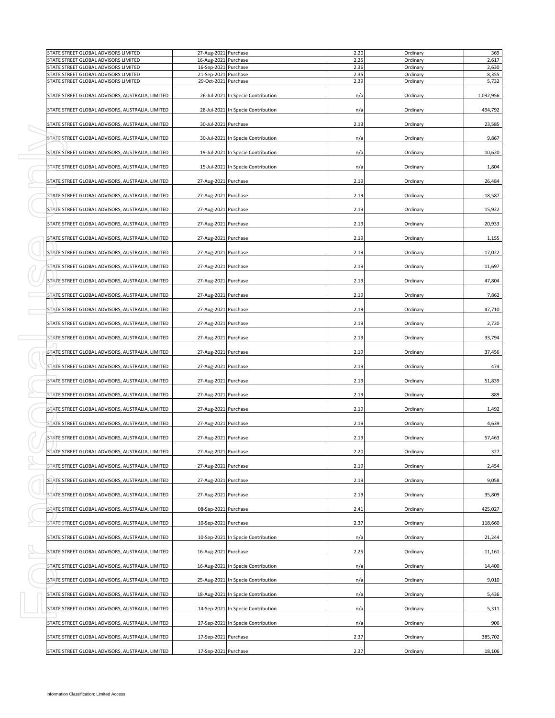| STATE STREET GLOBAL ADVISORS LIMITED<br>STATE STREET GLOBAL ADVISORS LIMITED | 27-Aug-2021 Purchase<br>16-Aug-2021 Purchase |                                    | 2.20<br>2.25 | Ordinary<br>Ordinary |           |
|------------------------------------------------------------------------------|----------------------------------------------|------------------------------------|--------------|----------------------|-----------|
| STATE STREET GLOBAL ADVISORS LIMITED                                         | 16-Sep-2021 Purchase                         |                                    | 2.36         | Ordinary             |           |
| STATE STREET GLOBAL ADVISORS LIMITED<br>STATE STREET GLOBAL ADVISORS LIMITED | 21-Sep-2021 Purchase<br>29-Oct-2021 Purchase |                                    | 2.35<br>2.39 | Ordinary<br>Ordinary |           |
| STATE STREET GLOBAL ADVISORS, AUSTRALIA, LIMITED                             |                                              | 26-Jul-2021 In Specie Contribution | n/a          | Ordinary             | 1,032,956 |
| STATE STREET GLOBAL ADVISORS, AUSTRALIA, LIMITED                             |                                              | 28-Jul-2021 In Specie Contribution | n/a          | Ordinary             | 494,792   |
| STATE STREET GLOBAL ADVISORS, AUSTRALIA, LIMITED                             | 30-Jul-2021 Purchase                         |                                    | 2.13         | Ordinary             | 23,585    |
| STATE STREET GLOBAL ADVISORS, AUSTRALIA, LIMITED                             |                                              | 30-Jul-2021 In Specie Contribution | n/a          | Ordinary             |           |
| STATE STREET GLOBAL ADVISORS, AUSTRALIA, LIMITED                             |                                              | 19-Jul-2021 In Specie Contribution | n/a          | Ordinary             |           |
| STATE STREET GLOBAL ADVISORS, AUSTRALIA, LIMITED                             |                                              | 15-Jul-2021 In Specie Contribution | n/a          | Ordinary             |           |
| STATE STREET GLOBAL ADVISORS, AUSTRALIA, LIMITED                             | 27-Aug-2021 Purchase                         |                                    | 2.19         | Ordinary             |           |
| STATE STREET GLOBAL ADVISORS, AUSTRALIA, LIMITED                             | 27-Aug-2021 Purchase                         |                                    | 2.19         | Ordinary             |           |
| STATE STREET GLOBAL ADVISORS, AUSTRALIA, LIMITED                             | 27-Aug-2021 Purchase                         |                                    | 2.19         | Ordinary             |           |
| STATE STREET GLOBAL ADVISORS, AUSTRALIA, LIMITED                             | 27-Aug-2021 Purchase                         |                                    | 2.19         | Ordinary             |           |
| STATE STREET GLOBAL ADVISORS, AUSTRALIA, LIMITED                             | 27-Aug-2021 Purchase                         |                                    | 2.19         | Ordinary             |           |
| STATE STREET GLOBAL ADVISORS, AUSTRALIA, LIMITED                             | 27-Aug-2021 Purchase                         |                                    | 2.19         | Ordinary             |           |
| STATE STREET GLOBAL ADVISORS, AUSTRALIA, LIMITED                             | 27-Aug-2021 Purchase                         |                                    | 2.19         | Ordinary             |           |
| STATE STREET GLOBAL ADVISORS, AUSTRALIA, LIMITED                             | 27-Aug-2021 Purchase                         |                                    | 2.19         | Ordinary             |           |
| STATE STREET GLOBAL ADVISORS, AUSTRALIA, LIMITED                             | 27-Aug-2021 Purchase                         |                                    | 2.19         | Ordinary             |           |
| STATE STREET GLOBAL ADVISORS, AUSTRALIA, LIMITED                             | 27-Aug-2021 Purchase                         |                                    | 2.19         | Ordinary             |           |
| STATE STREET GLOBAL ADVISORS, AUSTRALIA, LIMITED                             | 27-Aug-2021 Purchase                         |                                    | 2.19         | Ordinary             |           |
| STATE STREET GLOBAL ADVISORS, AUSTRALIA, LIMITED                             | 27-Aug-2021 Purchase                         |                                    | 2.19         | Ordinary             |           |
| STATE STREET GLOBAL ADVISORS, AUSTRALIA, LIMITED                             | 27-Aug-2021 Purchase                         |                                    | 2.19         | Ordinary             |           |
|                                                                              |                                              |                                    |              |                      |           |
| STATE STREET GLOBAL ADVISORS, AUSTRALIA, LIMITED                             | 27-Aug-2021 Purchase                         |                                    | 2.19         | Ordinary             |           |
| STATE STREET GLOBAL ADVISORS, AUSTRALIA, LIMITED                             | 27-Aug-2021 Purchase                         |                                    | 2.19         | Ordinary             |           |
| STATE STREET GLOBAL ADVISORS, AUSTRALIA, LIMITED                             | 27-Aug-2021 Purchase                         |                                    | 2.19         | Ordinary             |           |
| STATE STREET GLOBAL ADVISORS, AUSTRALIA, LIMITED                             | 27-Aug-2021 Purchase                         |                                    | 2.19         | Ordinary             |           |
| STATE STREET GLOBAL ADVISORS, AUSTRALIA, LIMITED                             | 27-Aug-2021 Purchase                         |                                    | 2.19         | Ordinary             |           |
| STATE STREET GLOBAL ADVISORS, AUSTRALIA, LIMITED                             | 27-Aug-2021 Purchase                         |                                    | 2.19         | Ordinary             |           |
| STATE STREET GLOBAL ADVISORS, AUSTRALIA, LIMITED                             | 27-Aug-2021 Purchase                         |                                    | 2.20         | Ordinary             |           |
| STATE STREET GLOBAL ADVISORS, AUSTRALIA, LIMITED                             | 27-Aug-2021 Purchase                         |                                    | 2.19         | Ordinary             |           |
| STATE STREET GLOBAL ADVISORS, AUSTRALIA, LIMITED                             | 27-Aug-2021 Purchase                         |                                    | 2.19         | Ordinary             |           |
| STATE STREET GLOBAL ADVISORS, AUSTRALIA, LIMITED                             | 27-Aug-2021 Purchase                         |                                    | 2.19         | Ordinary             |           |
| STATE STREET GLOBAL ADVISORS, AUSTRALIA, LIMITED                             | 08-Sep-2021 Purchase                         |                                    | 2.41         | Ordinary             | 425,027   |
| STATE STREET GLOBAL ADVISORS, AUSTRALIA, LIMITED                             | 10-Sep-2021 Purchase                         |                                    | 2.37         | Ordinary             |           |
| STATE STREET GLOBAL ADVISORS, AUSTRALIA, LIMITED                             |                                              | 10-Sep-2021 In Specie Contribution | n/a          | Ordinary             |           |
| STATE STREET GLOBAL ADVISORS, AUSTRALIA, LIMITED                             | 16-Aug-2021 Purchase                         |                                    | 2.25         | Ordinary             |           |
| STATE STREET GLOBAL ADVISORS, AUSTRALIA, LIMITED                             |                                              | 16-Aug-2021 In Specie Contribution | n/a          | Ordinary             |           |
| STATE STREET GLOBAL ADVISORS, AUSTRALIA, LIMITED                             |                                              | 25-Aug-2021 In Specie Contribution | n/a          | Ordinary             |           |
| STATE STREET GLOBAL ADVISORS, AUSTRALIA, LIMITED                             |                                              | 18-Aug-2021 In Specie Contribution | n/a          | Ordinary             |           |
| STATE STREET GLOBAL ADVISORS, AUSTRALIA, LIMITED                             |                                              | 14-Sep-2021 In Specie Contribution | n/a          | Ordinary             |           |
| STATE STREET GLOBAL ADVISORS, AUSTRALIA, LIMITED                             |                                              | 27-Sep-2021 In Specie Contribution | n/a          | Ordinary             |           |
| STATE STREET GLOBAL ADVISORS, AUSTRALIA, LIMITED                             | 17-Sep-2021 Purchase                         |                                    | 2.37         | Ordinary             | 385,702   |
| STATE STREET GLOBAL ADVISORS, AUSTRALIA, LIMITED                             | 17-Sep-2021 Purchase                         |                                    | 2.37         | Ordinary             |           |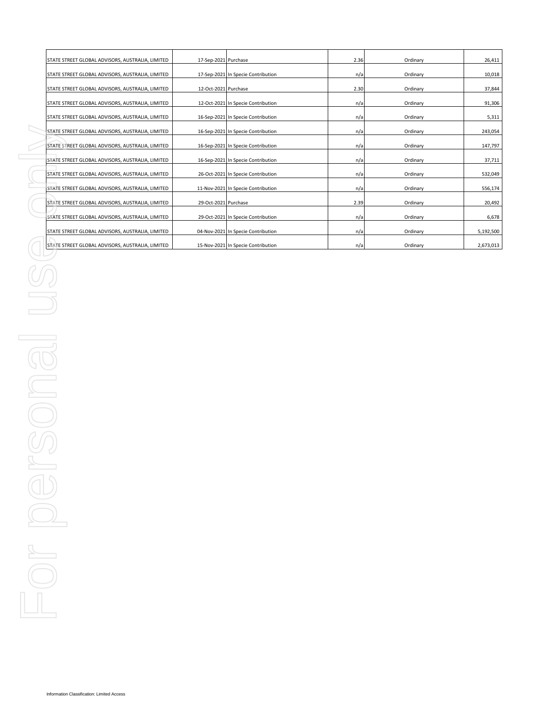| STATE STREET GLOBAL ADVISORS, AUSTRALIA, LIMITED | 17-Sep-2021 Purchase |                                    | 2.36 | Ordinary | 26,411    |
|--------------------------------------------------|----------------------|------------------------------------|------|----------|-----------|
| STATE STREET GLOBAL ADVISORS, AUSTRALIA, LIMITED |                      | 17-Sep-2021 In Specie Contribution | n/a  | Ordinary | 10,018    |
| STATE STREET GLOBAL ADVISORS, AUSTRALIA, LIMITED | 12-Oct-2021 Purchase |                                    | 2.30 | Ordinary | 37,844    |
| STATE STREET GLOBAL ADVISORS, AUSTRALIA, LIMITED |                      | 12-Oct-2021 In Specie Contribution | n/a  | Ordinary | 91,306    |
| STATE STREET GLOBAL ADVISORS, AUSTRALIA, LIMITED |                      | 16-Sep-2021 In Specie Contribution | n/a  | Ordinary | 5,311     |
| STATE STREET GLOBAL ADVISORS, AUSTRALIA, LIMITED |                      | 16-Sep-2021 In Specie Contribution | n/a  | Ordinary | 243,054   |
| STATE STREET GLOBAL ADVISORS, AUSTRALIA, LIMITED |                      | 16-Sep-2021 In Specie Contribution | n/a  | Ordinary | 147,797   |
| STATE STREET GLOBAL ADVISORS, AUSTRALIA, LIMITED |                      | 16-Sep-2021 In Specie Contribution | n/a  | Ordinary | 37,711    |
| STATE STREET GLOBAL ADVISORS, AUSTRALIA, LIMITED |                      | 26-Oct-2021 In Specie Contribution | n/a  | Ordinary | 532,049   |
| STATE STREET GLOBAL ADVISORS, AUSTRALIA, LIMITED |                      | 11-Nov-2021 In Specie Contribution | n/a  | Ordinary | 556,174   |
| STATE STREET GLOBAL ADVISORS, AUSTRALIA, LIMITED | 29-Oct-2021 Purchase |                                    | 2.39 | Ordinary | 20,492    |
| STATE STREET GLOBAL ADVISORS, AUSTRALIA, LIMITED |                      | 29-Oct-2021 In Specie Contribution | n/a  | Ordinary | 6,678     |
| STATE STREET GLOBAL ADVISORS, AUSTRALIA, LIMITED |                      | 04-Nov-2021 In Specie Contribution | n/a  | Ordinary | 5,192,500 |
| STATE STREET GLOBAL ADVISORS, AUSTRALIA, LIMITED |                      | 15-Nov-2021 In Specie Contribution | n/a  | Ordinary | 2,673,013 |